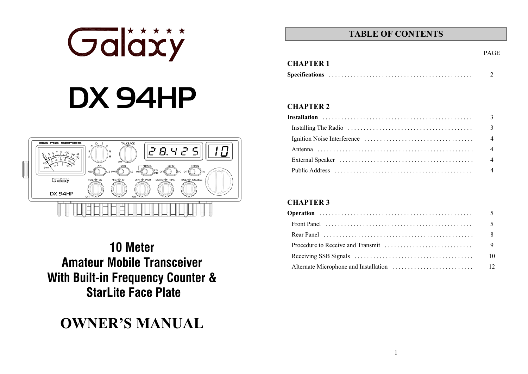# Galäxy DX 94HP



**10 Meter Amateur Mobile Transceiver With Built-in Frequency Counter & StarLite Face Plate** 

### **OWNER'S MANUAL**

### **TABLE OF CONTENTS**

PAGE

#### **CHAPTER 2**

**CHAPTER 1** 

| 3              |
|----------------|
| 3              |
| $\overline{4}$ |
| $\overline{4}$ |
| $\overline{4}$ |
| $\overline{4}$ |

#### **CHAPTER 3**

| 9  |
|----|
| 10 |
| 12 |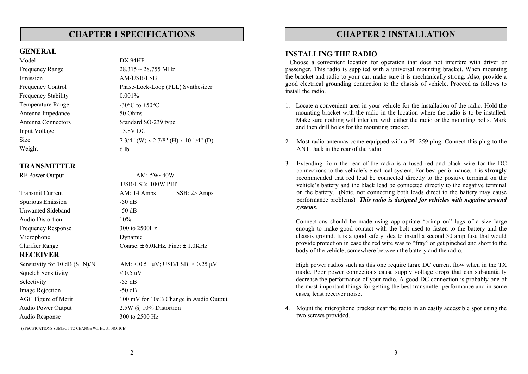#### **CHAPTER 1 SPECIFICATIONS**

#### **GENERAL**

Model DX 94HP Frequency Range  $28.315 \approx 28.755$  MHz Emission AM/USB/LSB Frequency Stability 0.001% Temperature Range  $-30^{\circ}$ C to  $+50^{\circ}$ C Antenna Impedance 50 Ohms Antenna Connectors Standard SO-239 type Input Voltage 13.8V DC Weight 6 lb.

## Frequency Control Phase-Lock-Loop (PLL) Synthesizer Size 7 3/4" (W) x 2 7/8" (H) x 10 1/4" (D)

#### **TRANSMITTER**

| Transmit Current              |  |  |  |  |
|-------------------------------|--|--|--|--|
| <b>Spurious Emission</b>      |  |  |  |  |
| Unwanted Sideband             |  |  |  |  |
| Audio Distortion              |  |  |  |  |
| <b>Frequency Response</b>     |  |  |  |  |
| Microphone                    |  |  |  |  |
| Clarifier Range               |  |  |  |  |
| <b>RECEIVER</b>               |  |  |  |  |
| Sensitivity for 10 dB (S+N)/N |  |  |  |  |
| Squelch Sensitivity           |  |  |  |  |
| Selectivity                   |  |  |  |  |
| Image Rejection               |  |  |  |  |
| AGC Figure of Merit           |  |  |  |  |
| <b>Audio Power Output</b>     |  |  |  |  |
| Audio Response                |  |  |  |  |

RF Power Output AM:  $5W~40W$ USB/LSB: 100W PEP AM:  $14$  Amps SSB:  $25$  Amps  $-50$  dB  $-50$  dB  $10%$ 300 to 2500 Hz Dynamic Coarse:  $\pm 6.0$ KHz, Fine:  $\pm 1.0$ KHz

 $AM: < 0.5$   $\mu$ V; USB/LSB:  $< 0.25$   $\mu$ V  $< 0.5$  uV  $-55$  dB  $-50$  dB 100 mV for 10dB Change in Audio Output  $2.5W$  @ 10% Distortion 300 to 2500 Hz

**CHAPTER 2 INSTALLATION**

#### **INSTALLING THE RADIO**

Choose a convenient location for operation that does not interfere with driver or passenger. This radio is supplied with a universal mounting bracket. When mounting the bracket and radio to your car, make sure it is mechanically strong. Also, provide a good electrical grounding connection to the chassis of vehicle. Proceed as follows to install the radio.

- 1. Locate a convenient area in your vehicle for the installation of the radio. Hold the mounting bracket with the radio in the location where the radio is to be installed. Make sure nothing will interfere with either the radio or the mounting bolts. Mark and then drill holes for the mounting bracket.
- 2. Most radio antennas come equipped with a PL-259 plug. Connect this plug to the ANT. Jack in the rear of the radio.

3. Extending from the rear of the radio is a fused red and black wire for the DC connections to the vehicle's electrical system. For best performance, it is **strongly** recommended that red lead be connected directly to the positive terminal on the vehicle's battery and the black lead be connected directly to the negative terminal on the battery. (Note, not connecting both leads direct to the battery may cause performance problems) *This radio is designed for vehicles with negative ground systems*.

Connections should be made using appropriate "crimp on" lugs of a size large enough to make good contact with the bolt used to fasten to the battery and the chassis ground. It is a good safety idea to install a second 30 amp fuse that would provide protection in case the red wire was to "fray" or get pinched and short to the body of the vehicle, somewhere between the battery and the radio.

High power radios such as this one require large DC current flow when in the TX mode. Poor power connections cause supply voltage drops that can substantially decrease the performance of your radio. A good DC connection is probably one of the most important things for getting the best transmitter performance and in some cases, least receiver noise.

4. Mount the microphone bracket near the radio in an easily accessible spot using the two screws provided.

(SPECIFICATIONS SUBJECT TO CHANGE WITHOUT NOTICE)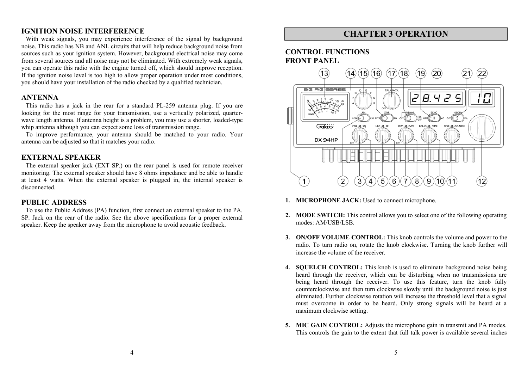#### **IGNITION NOISE INTERFERENCE**

With weak signals, you may experience interference of the signal by background noise. This radio has NB and ANL circuits that will help reduce background noise from sources such as your ignition system. However, background electrical noise may come from several sources and all noise may not be eliminated. With extremely weak signals, you can operate this radio with the engine turned off, which should improve reception. If the ignition noise level is too high to allow proper operation under most conditions, you should have your installation of the radio checked by a qualified technician.

#### **ANTENNA**

This radio has a jack in the rear for a standard PL-259 antenna plug. If you are looking for the most range for your transmission, use a vertically polarized, quarterwave length antenna. If antenna height is a problem, you may use a shorter, loaded-type whip antenna although you can expect some loss of transmission range.

To improve performance, your antenna should be matched to your radio. Your antenna can be adjusted so that it matches your radio.

#### **EXTERNAL SPEAKER**

The external speaker jack (EXT SP.) on the rear panel is used for remote receiver monitoring. The external speaker should have 8 ohms impedance and be able to handle at least 4 watts. When the external speaker is plugged in, the internal speaker is disconnected.

#### **PUBLIC ADDRESS**

To use the Public Address (PA) function, first connect an external speaker to the PA. SP. Jack on the rear of the radio. See the above specifications for a proper external speaker. Keep the speaker away from the microphone to avoid acoustic feedback.

#### **CHAPTER 3 OPERATION**

#### **CONTROL FUNCTIONS FRONT PANEL**



- **1. MICROPHONE JACK:** Used to connect microphone.
- **2. MODE SWITCH:** This control allows you to select one of the following operating modes: AM/USB/LSB.
- **3. ON/OFF VOLUME CONTROL:** This knob controls the volume and power to the radio. To turn radio on, rotate the knob clockwise. Turning the knob further will increase the volume of the receiver.
- **4. SQUELCH CONTROL:** This knob is used to eliminate background noise being heard through the receiver, which can be disturbing when no transmissions are being heard through the receiver. To use this feature, turn the knob fully counterclockwise and then turn clockwise slowly until the background noise is just eliminated. Further clockwise rotation will increase the threshold level that a signal must overcome in order to be heard. Only strong signals will be heard at a maximum clockwise setting.
- **5. MIC GAIN CONTROL:** Adjusts the microphone gain in transmit and PA modes. This controls the gain to the extent that full talk power is available several inches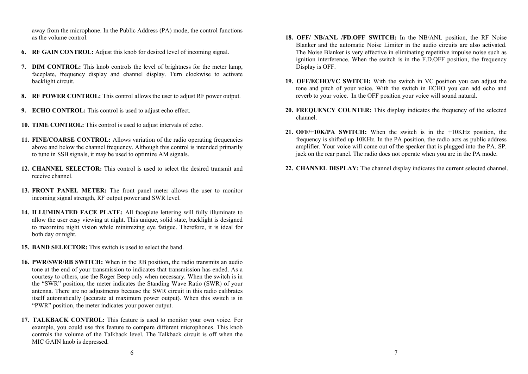away from the microphone. In the Public Address (PA) mode, the control functions as the volume control.

- **6. RF GAIN CONTROL:** Adjust this knob for desired level of incoming signal.
- **7. DIM CONTROL:** This knob controls the level of brightness for the meter lamp, faceplate, frequency display and channel display. Turn clockwise to activate backlight circuit.
- **8. RF POWER CONTROL:** This control allows the user to adjust RF power output.
- **9. ECHO CONTROL:** This control is used to adjust echo effect.
- **10. TIME CONTROL:** This control is used to adjust intervals of echo.
- **11. FINE/COARSE CONTROL:** Allows variation of the radio operating frequencies above and below the channel frequency. Although this control is intended primarily to tune in SSB signals, it may be used to optimize AM signals.
- **12. CHANNEL SELECTOR:** This control is used to select the desired transmit and receive channel.
- **13. FRONT PANEL METER:** The front panel meter allows the user to monitor incoming signal strength, RF output power and SWR level.
- **14. ILLUMINATED FACE PLATE:** All faceplate lettering will fully illuminate to allow the user easy viewing at night. This unique, solid state, backlight is designed to maximize night vision while minimizing eye fatigue. Therefore, it is ideal for both day or night.
- **15. BAND SELECTOR:** This switch is used to select the band.
- **16. PWR/SWR/RB SWITCH:** When in the RB position**,** the radio transmits an audio tone at the end of your transmission to indicates that transmission has ended. As a courtesy to others, use the Roger Beep only when necessary. When the switch is in the "SWR" position, the meter indicates the Standing Wave Ratio (SWR) of your antenna. There are no adjustments because the SWR circuit in this radio calibrates itself automatically (accurate at maximum power output). When this switch is in "PWR" position, the meter indicates your power output.
- **17. TALKBACK CONTROL:** This feature is used to monitor your own voice. For example, you could use this feature to compare different microphones. This knob controls the volume of the Talkback level. The Talkback circuit is off when the MIC GAIN knob is depressed.
- **18. OFF/ NB/ANL /FD.OFF SWITCH:** In the NB/ANL position, the RF Noise Blanker and the automatic Noise Limiter in the audio circuits are also activated. The Noise Blanker is very effective in eliminating repetitive impulse noise such as ignition interference. When the switch is in the F.D.OFF position, the frequency Display is OFF.
- **19. OFF/ECHO/VC SWITCH:** With the switch in VC position you can adjust the tone and pitch of your voice. With the switch in ECHO you can add echo and reverb to your voice. In the OFF position your voice will sound natural.
- **20. FREQUENCY COUNTER:** This display indicates the frequency of the selected channel.
- **21. OFF/+10K/PA SWITCH:** When the switch is in the +10KHz position, the frequency is shifted up 10KHz. In the PA position, the radio acts as public address amplifier. Your voice will come out of the speaker that is plugged into the PA. SP. jack on the rear panel. The radio does not operate when you are in the PA mode.
- **22. CHANNEL DISPLAY:** The channel display indicates the current selected channel.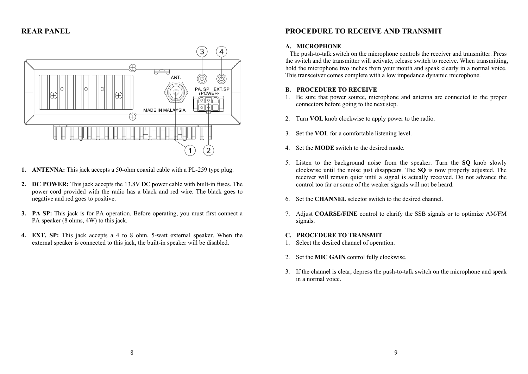**REAR PANEL** 



- **1. ANTENNA:** This jack accepts a 50-ohm coaxial cable with a PL-259 type plug.
- **2. DC POWER:** This jack accepts the 13.8V DC power cable with built-in fuses. The power cord provided with the radio has a black and red wire. The black goes to negative and red goes to positive.
- **3. PA SP:** This jack is for PA operation. Before operating, you must first connect a PA speaker (8 ohms, 4W) to this jack.
- **4. EXT. SP:** This jack accepts a 4 to 8 ohm, 5-watt external speaker. When the external speaker is connected to this jack, the built-in speaker will be disabled.

#### **PROCEDURE TO RECEIVE AND TRANSMIT**

#### **A. MICROPHONE**

The push-to-talk switch on the microphone controls the receiver and transmitter. Press the switch and the transmitter will activate, release switch to receive. When transmitting, hold the microphone two inches from your mouth and speak clearly in a normal voice. This transceiver comes complete with a low impedance dynamic microphone.

#### **B. PROCEDURE TO RECEIVE**

- 1. Be sure that power source, microphone and antenna are connected to the proper connectors before going to the next step.
- 2.Turn **VOL** knob clockwise to apply power to the radio.
- 3. Set the **VOL** for a comfortable listening level.
- 4. Set the **MODE** switch to the desired mode.
- 5. Listen to the background noise from the speaker. Turn the **SQ** knob slowly clockwise until the noise just disappears. The **SQ** is now properly adjusted. The receiver will remain quiet until a signal is actually received. Do not advance the control too far or some of the weaker signals will not be heard.
- 6. Set the **CHANNEL** selector switch to the desired channel.
- 7. Adjust **COARSE/FINE** control to clarify the SSB signals or to optimize AM/FM signals.

#### **C. PROCEDURE TO TRANSMIT**

- 1. Select the desired channel of operation.
- 2. Set the **MIC GAIN** control fully clockwise.
- 3. If the channel is clear, depress the push-to-talk switch on the microphone and speak in a normal voice.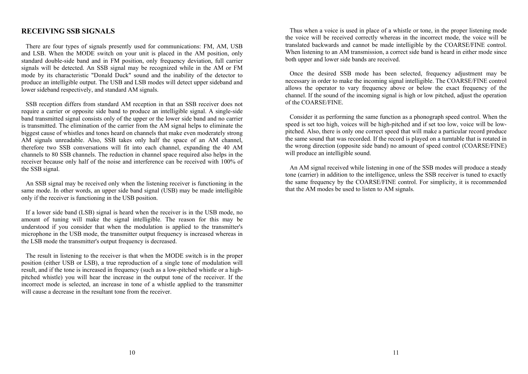#### **RECEIVING SSB SIGNALS**

There are four types of signals presently used for communications: FM, AM, USB and LSB. When the MODE switch on your unit is placed in the AM position, only standard double-side band and in FM position, only frequency deviation, full carrier signals will be detected. An SSB signal may be recognized while in the AM or FM mode by its characteristic "Donald Duck" sound and the inability of the detector to produce an intelligible output. The USB and LSB modes will detect upper sideband and lower sideband respectively, and standard AM signals.

SSB reception differs from standard AM reception in that an SSB receiver does not require a carrier or opposite side band to produce an intelligible signal. A single-side band transmitted signal consists only of the upper or the lower side band and no carrier is transmitted. The elimination of the carrier from the AM signal helps to eliminate the biggest cause of whistles and tones heard on channels that make even moderately strong AM signals unreadable. Also, SSB takes only half the space of an AM channel, therefore two SSB conversations will fit into each channel, expanding the 40 AM channels to 80 SSB channels. The reduction in channel space required also helps in the receiver because only half of the noise and interference can be received with 100% of the SSB signal.

An SSB signal may be received only when the listening receiver is functioning in the same mode. In other words, an upper side band signal (USB) may be made intelligible only if the receiver is functioning in the USB position.

If a lower side band (LSB) signal is heard when the receiver is in the USB mode, no amount of tuning will make the signal intelligible. The reason for this may be understood if you consider that when the modulation is applied to the transmitter's microphone in the USB mode, the transmitter output frequency is increased whereas in the LSB mode the transmitter's output frequency is decreased.

The result in listening to the receiver is that when the MODE switch is in the proper position (either USB or LSB), a true reproduction of a single tone of modulation will result, and if the tone is increased in frequency (such as a low-pitched whistle or a highpitched whistle) you will hear the increase in the output tone of the receiver. If the incorrect mode is selected, an increase in tone of a whistle applied to the transmitter will cause a decrease in the resultant tone from the receiver.

Thus when a voice is used in place of a whistle or tone, in the proper listening mode the voice will be received correctly whereas in the incorrect mode, the voice will be translated backwards and cannot be made intelligible by the COARSE/FINE control. When listening to an AM transmission, a correct side band is heard in either mode since both upper and lower side bands are received.

Once the desired SSB mode has been selected, frequency adjustment may be necessary in order to make the incoming signal intelligible. The COARSE/FINE control allows the operator to vary frequency above or below the exact frequency of the channel. If the sound of the incoming signal is high or low pitched, adjust the operation of the COARSE/FINE.

Consider it as performing the same function as a phonograph speed control. When the speed is set too high, voices will be high-pitched and if set too low, voice will be lowpitched. Also, there is only one correct speed that will make a particular record produce the same sound that was recorded. If the record is played on a turntable that is rotated in the wrong direction (opposite side band) no amount of speed control (COARSE/FINE) will produce an intelligible sound.

An AM signal received while listening in one of the SSB modes will produce a steady tone (carrier) in addition to the intelligence, unless the SSB receiver is tuned to exactly the same frequency by the COARSE/FINE control. For simplicity, it is recommended that the AM modes be used to listen to AM signals.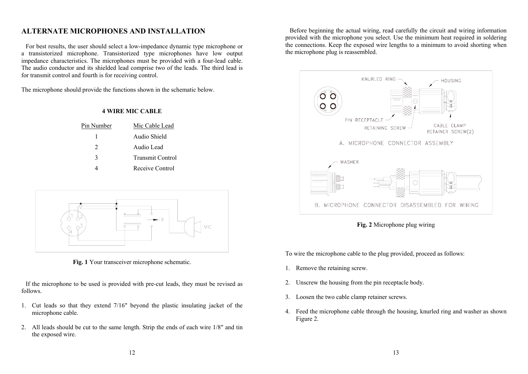#### **ALTERNATE MICROPHONES AND INSTALLATION**

For best results, the user should select a low-impedance dynamic type microphone or a transistorized microphone. Transistorized type microphones have low output impedance characteristics. The microphones must be provided with a four-lead cable. The audio conductor and its shielded lead comprise two of the leads. The third lead is for transmit control and fourth is for receiving control.

**4 WIRE MIC CABLE** 

The microphone should provide the functions shown in the schematic below.

| Pin Number | Mic Cable Lead          |
|------------|-------------------------|
|            | Audio Shield            |
| 2          | Audio Lead              |
| 3          | <b>Transmit Control</b> |
|            | Receive Control         |
|            |                         |



**Fig. 1** Your transceiver microphone schematic.

If the microphone to be used is provided with pre-cut leads, they must be revised as follows.

- 1. Cut leads so that they extend 7/16" beyond the plastic insulating jacket of the microphone cable.
- 2. All leads should be cut to the same length. Strip the ends of each wire 1/8" and tin the exposed wire.

Before beginning the actual wiring, read carefully the circuit and wiring information provided with the microphone you select. Use the minimum heat required in soldering the connections. Keep the exposed wire lengths to a minimum to avoid shorting when the microphone plug is reassembled.





To wire the microphone cable to the plug provided, proceed as follows:

- 1. Remove the retaining screw.
- 2. Unscrew the housing from the pin receptacle body.
- 3. Loosen the two cable clamp retainer screws.
- 4. Feed the microphone cable through the housing, knurled ring and washer as shown Figure 2.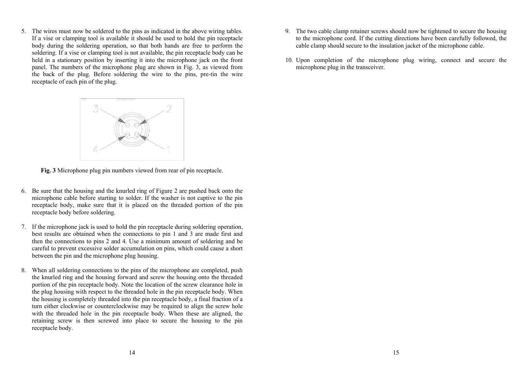5. The wires must now be soldered to the pins as indicated in the above wiring tables. If a vise or clamping tool is available it should be used to hold the pin receptacle body during the soldering operation, so that both hands are free to perform the soldering. If a vise or clamping tool is not available, the pin receptacle body can be held in a stationary position by inserting it into the microphone jack on the front panel. The numbers of the microphone plug are shown in Fig. 3, as viewed from the back of the plug. Before soldering the wire to the pins, pre-tin the wire receptacle of each pin of the plug.



**Fig. 3** Microphone plug pin numbers viewed from rear of pin receptacle.

- 6. Be sure that the housing and the knurled ring of Figure 2 are pushed back onto the microphone cable before starting to solder. If the washer is not captive to the pin receptacle body, make sure that it is placed on the threaded portion of the pin receptacle body before soldering.
- 7. If the microphone jack is used to hold the pin receptacle during soldering operation, best results are obtained when the connections to pin 1 and 3 are made first and then the connections to pins 2 and 4. Use a minimum amount of soldering and be careful to prevent excessive solder accumulation on pins, which could cause a short between the pin and the microphone plug housing.
- 8. When all soldering connections to the pins of the microphone are completed, push the knurled ring and the housing forward and screw the housing onto the threaded portion of the pin receptacle body. Note the location of the screw clearance hole in the plug housing with respect to the threaded hole in the pin receptacle body. When the housing is completely threaded into the pin receptacle body, a final fraction of a turn either clockwise or counterclockwise may be required to align the screw hole with the threaded hole in the pin receptacle body. When these are aligned, the retaining screw is then screwed into place to secure the housing to the pin receptacle body.
- 9. The two cable clamp retainer screws should now be tightened to secure the housing to the microphone cord. If the cutting directions have been carefully followed, the cable clamp should secure to the insulation jacket of the microphone cable.
- 10. Upon completion of the microphone plug wiring, connect and secure the microphone plug in the transceiver.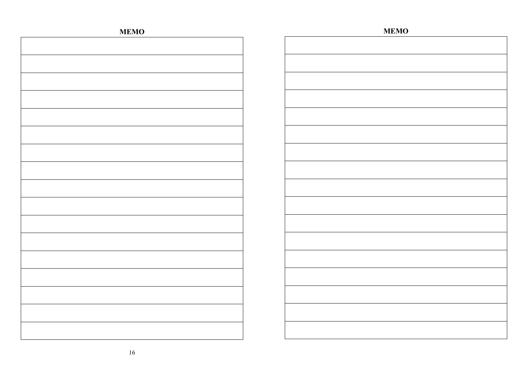| <b>MEMO</b> | <b>MEMO</b> |
|-------------|-------------|
|             |             |
|             |             |
|             |             |
|             |             |
|             |             |
|             |             |
|             |             |
|             |             |
|             |             |
|             |             |
|             |             |
|             |             |
|             |             |
|             |             |
|             |             |
|             |             |
|             |             |
|             |             |
|             |             |
|             |             |
|             |             |
|             |             |
|             |             |
|             |             |
|             |             |
|             |             |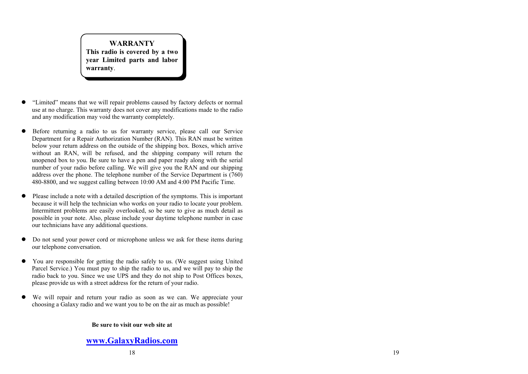**WARRANTYThis radio is covered by a two year Limited parts and labor warranty**.

- $\bullet$  "Limited" means that we will repair problems caused by factory defects or normal use at no charge. This warranty does not cover any modifications made to the radio and any modification may void the warranty completely.
- $\bullet$  Before returning a radio to us for warranty service, please call our Service Department for a Repair Authorization Number (RAN). This RAN must be written below your return address on the outside of the shipping box. Boxes, which arrive without an RAN, will be refused, and the shipping company will return the unopened box to you. Be sure to have a pen and paper ready along with the serial number of your radio before calling. We will give you the RAN and our shipping address over the phone. The telephone number of the Service Department is (760) 480-8800, and we suggest calling between 10:00 AM and 4:00 PM Pacific Time.
- $\bullet$  Please include a note with a detailed description of the symptoms. This is important because it will help the technician who works on your radio to locate your problem. Intermittent problems are easily overlooked, so be sure to give as much detail as possible in your note. Also, please include your daytime telephone number in case our technicians have any additional questions.
- $\bullet$  Do not send your power cord or microphone unless we ask for these items during our telephone conversation.
- $\bullet$  You are responsible for getting the radio safely to us. (We suggest using United Parcel Service.) You must pay to ship the radio to us, and we will pay to ship the radio back to you. Since we use UPS and they do not ship to Post Offices boxes, please provide us with a street address for the return of your radio.
- We will repair and return your radio as soon as we can. We appreciate your choosing a Galaxy radio and we want you to be on the air as much as possible!

#### **Be sure to visit our web site at**

#### **www.GalaxyRadios.com**